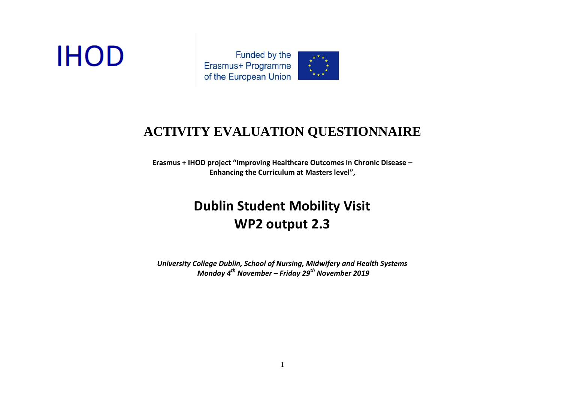# **IHOD**



### **ACTIVITY EVALUATION QUESTIONNAIRE**

**Erasmus + IHOD project "Improving Healthcare Outcomes in Chronic Disease – Enhancing the Curriculum at Masters level",**

## **Dublin Student Mobility Visit WP2 output 2.3**

*University College Dublin, School of Nursing, Midwifery and Health Systems Monday 4th November – Friday 29th November 2019*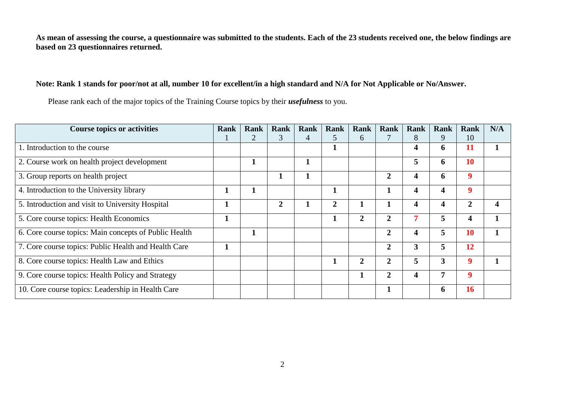**As mean of assessing the course, a questionnaire was submitted to the students. Each of the 23 students received one, the below findings are based on 23 questionnaires returned.**

#### **Note: Rank 1 stands for poor/not at all, number 10 for excellent/in a high standard and N/A for Not Applicable or No/Answer.**

Please rank each of the major topics of the Training Course topics by their *usefulness* to you.

| <b>Course topics or activities</b>                    | Rank | Rank | Rank           | Rank | Rank           | Rank           | Rank             | <b>Rank</b>             | Rank                    | <b>Rank</b>    | N/A |
|-------------------------------------------------------|------|------|----------------|------|----------------|----------------|------------------|-------------------------|-------------------------|----------------|-----|
|                                                       |      |      | 3              | 4    | C.             | 6              |                  | 8                       | 9                       | 10             |     |
| 1. Introduction to the course                         |      |      |                |      |                |                |                  | 4                       | 6                       | 11             |     |
| 2. Course work on health project development          |      |      |                |      |                |                |                  | 5                       | 6                       | 10             |     |
| 3. Group reports on health project                    |      |      |                |      |                |                | $\overline{2}$   | 4                       | 6                       | 9              |     |
| 4. Introduction to the University library             |      | л    |                |      |                |                |                  | 4                       | $\overline{\mathbf{4}}$ | 9              |     |
| 5. Introduction and visit to University Hospital      |      |      | $\overline{2}$ |      | $\overline{2}$ | 1              |                  | $\overline{\mathbf{4}}$ | $\overline{\mathbf{4}}$ | $\overline{2}$ | 4   |
| 5. Core course topics: Health Economics               |      |      |                |      |                | $\overline{2}$ | $\boldsymbol{2}$ |                         | 5                       | 4              |     |
| 6. Core course topics: Main concepts of Public Health |      |      |                |      |                |                | $\overline{2}$   | 4                       | 5                       | 10             |     |
| 7. Core course topics: Public Health and Health Care  |      |      |                |      |                |                | $\overline{2}$   | 3                       | 5                       | 12             |     |
| 8. Core course topics: Health Law and Ethics          |      |      |                |      | -1.            | $\overline{2}$ | $\overline{2}$   | 5                       | $\overline{\mathbf{3}}$ | 9              |     |
| 9. Core course topics: Health Policy and Strategy     |      |      |                |      |                | 1              | $\overline{2}$   | $\overline{\mathbf{4}}$ | 7                       | 9              |     |
| 10. Core course topics: Leadership in Health Care     |      |      |                |      |                |                |                  |                         | $\ddot{\mathbf{6}}$     | 16             |     |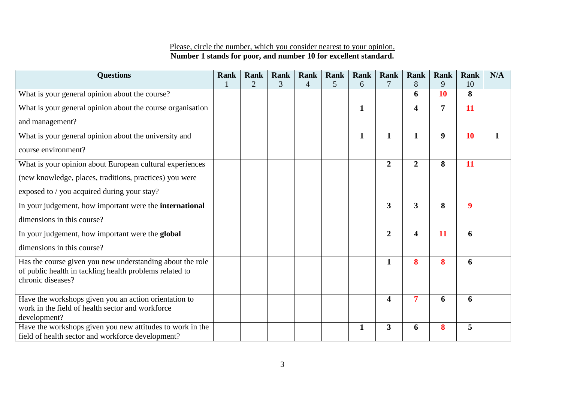#### Please, circle the number, which you consider nearest to your opinion. **Number 1 stands for poor, and number 10 for excellent standard.**

| <b>Questions</b>                                                                                          | <b>Rank</b> | <b>Rank</b>    | <b>Rank</b> | <b>Rank</b>    | <b>Rank</b> | Rank         | <b>Rank</b>             | <b>Rank</b>             | <b>Rank</b>      | <b>Rank</b>      | N/A         |
|-----------------------------------------------------------------------------------------------------------|-------------|----------------|-------------|----------------|-------------|--------------|-------------------------|-------------------------|------------------|------------------|-------------|
|                                                                                                           |             | $\overline{2}$ | 3           | $\overline{4}$ | 5           | 6            |                         | 8                       | 9                | 10               |             |
| What is your general opinion about the course?                                                            |             |                |             |                |             |              |                         | 6                       | 10               | 8                |             |
| What is your general opinion about the course organisation                                                |             |                |             |                |             | $\mathbf{1}$ |                         | $\overline{\mathbf{4}}$ | $\overline{7}$   | 11               |             |
| and management?                                                                                           |             |                |             |                |             |              |                         |                         |                  |                  |             |
| What is your general opinion about the university and                                                     |             |                |             |                |             | $\mathbf{1}$ | $\mathbf{1}$            | $\mathbf{1}$            | $\boldsymbol{9}$ | <b>10</b>        | $\mathbf 1$ |
| course environment?                                                                                       |             |                |             |                |             |              |                         |                         |                  |                  |             |
| What is your opinion about European cultural experiences                                                  |             |                |             |                |             |              | $\boldsymbol{2}$        | $\overline{2}$          | 8                | 11               |             |
| (new knowledge, places, traditions, practices) you were                                                   |             |                |             |                |             |              |                         |                         |                  |                  |             |
| exposed to / you acquired during your stay?                                                               |             |                |             |                |             |              |                         |                         |                  |                  |             |
| In your judgement, how important were the international                                                   |             |                |             |                |             |              | $\overline{\mathbf{3}}$ | 3                       | 8                | $\boldsymbol{9}$ |             |
| dimensions in this course?                                                                                |             |                |             |                |             |              |                         |                         |                  |                  |             |
| In your judgement, how important were the global                                                          |             |                |             |                |             |              | $\overline{2}$          | $\overline{\mathbf{4}}$ | 11               | 6                |             |
| dimensions in this course?                                                                                |             |                |             |                |             |              |                         |                         |                  |                  |             |
| Has the course given you new understanding about the role                                                 |             |                |             |                |             |              | $\mathbf{1}$            | 8                       | 8                | 6                |             |
| of public health in tackling health problems related to<br>chronic diseases?                              |             |                |             |                |             |              |                         |                         |                  |                  |             |
|                                                                                                           |             |                |             |                |             |              |                         |                         |                  |                  |             |
| Have the workshops given you an action orientation to<br>work in the field of health sector and workforce |             |                |             |                |             |              | $\overline{\mathbf{4}}$ | $\overline{7}$          | 6                | 6                |             |
| development?                                                                                              |             |                |             |                |             |              |                         |                         |                  |                  |             |
| Have the workshops given you new attitudes to work in the                                                 |             |                |             |                |             | $\mathbf{1}$ | $\overline{\mathbf{3}}$ | 6                       | 8                | 5                |             |
| field of health sector and workforce development?                                                         |             |                |             |                |             |              |                         |                         |                  |                  |             |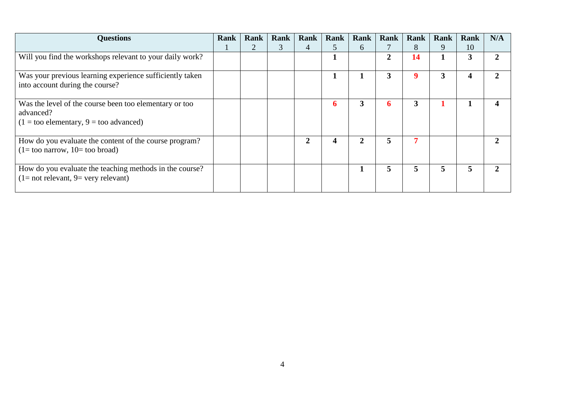| <b>Questions</b>                                                                                                              | Rank | Rank | Rank | Rank | Rank | Rank | Rank           | Rank | Rank | Rank | N/A |
|-------------------------------------------------------------------------------------------------------------------------------|------|------|------|------|------|------|----------------|------|------|------|-----|
|                                                                                                                               |      |      | C.   | 4    | C    | 6    |                | 8    | 9    | 10   |     |
| Will you find the workshops relevant to your daily work?                                                                      |      |      |      |      |      |      | $\overline{2}$ | 14   |      | 3    |     |
| Was your previous learning experience sufficiently taken<br>into account during the course?                                   |      |      |      |      |      |      | 3              | 9    | 3    | 4    |     |
| Was the level of the course been too elementary or too<br>advanced?<br>$(1 = \text{too elementary}, 9 = \text{too advanced})$ |      |      |      |      | 6    | 3    | 6              | 3    |      |      |     |
| How do you evaluate the content of the course program?<br>$(1 = \text{too narrow}, 10 = \text{too broad})$                    |      |      |      | 2    | 4    | 2    | 5              |      |      |      |     |
| How do you evaluate the teaching methods in the course?<br>$(1 = not relevant, 9 = very relevant)$                            |      |      |      |      |      |      | 5              | 5    | 5    | 5    |     |